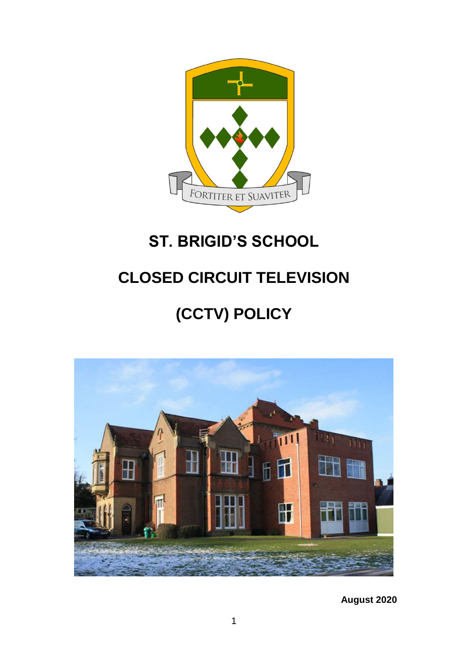

## **ST. BRIGID'S SCHOOL**

## **CLOSED CIRCUIT TELEVISION**

# **(CCTV) POLICY**



**August 2020**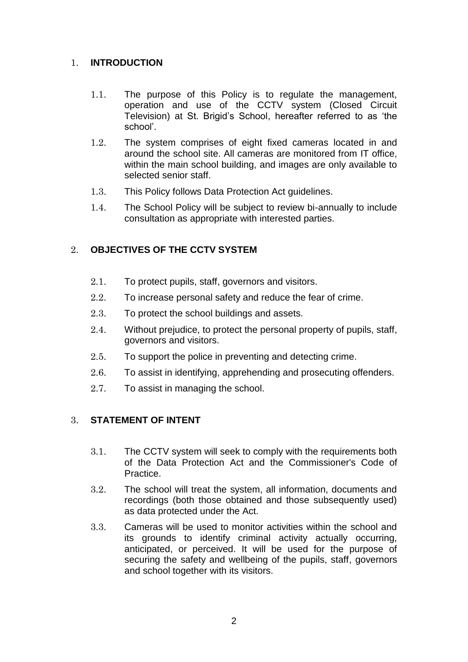## 1. **INTRODUCTION**

- 1.1. The purpose of this Policy is to regulate the management, operation and use of the CCTV system (Closed Circuit Television) at St. Brigid's School, hereafter referred to as 'the school'.
- 1.2. The system comprises of eight fixed cameras located in and around the school site. All cameras are monitored from IT office, within the main school building, and images are only available to selected senior staff.
- 1.3. This Policy follows Data Protection Act guidelines.
- 1.4. The School Policy will be subject to review bi-annually to include consultation as appropriate with interested parties.

## 2. **OBJECTIVES OF THE CCTV SYSTEM**

- 2.1. To protect pupils, staff, governors and visitors.
- 2.2. To increase personal safety and reduce the fear of crime.
- 2.3. To protect the school buildings and assets.
- 2.4. Without prejudice, to protect the personal property of pupils, staff, governors and visitors.
- 2.5. To support the police in preventing and detecting crime.
- 2.6. To assist in identifying, apprehending and prosecuting offenders.
- 2.7. To assist in managing the school.

## 3. **STATEMENT OF INTENT**

- 3.1. The CCTV system will seek to comply with the requirements both of the Data Protection Act and the Commissioner's Code of Practice.
- 3.2. The school will treat the system, all information, documents and recordings (both those obtained and those subsequently used) as data protected under the Act.
- 3.3. Cameras will be used to monitor activities within the school and its grounds to identify criminal activity actually occurring, anticipated, or perceived. It will be used for the purpose of securing the safety and wellbeing of the pupils, staff, governors and school together with its visitors.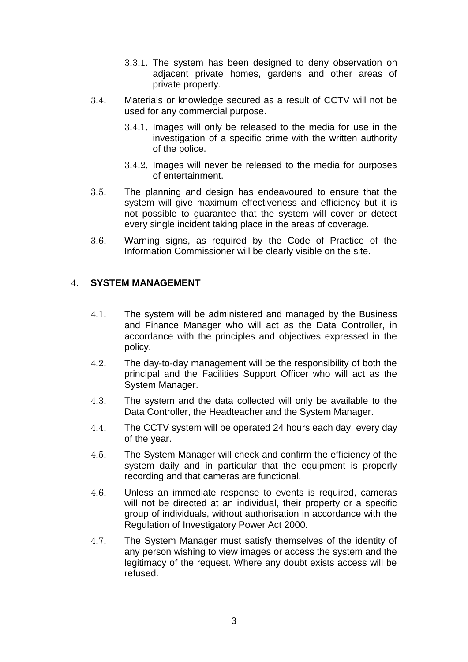- 3.3.1. The system has been designed to deny observation on adjacent private homes, gardens and other areas of private property.
- 3.4. Materials or knowledge secured as a result of CCTV will not be used for any commercial purpose.
	- 3.4.1. Images will only be released to the media for use in the investigation of a specific crime with the written authority of the police.
	- 3.4.2. Images will never be released to the media for purposes of entertainment.
- 3.5. The planning and design has endeavoured to ensure that the system will give maximum effectiveness and efficiency but it is not possible to guarantee that the system will cover or detect every single incident taking place in the areas of coverage.
- 3.6. Warning signs, as required by the Code of Practice of the Information Commissioner will be clearly visible on the site.

### 4. **SYSTEM MANAGEMENT**

- 4.1. The system will be administered and managed by the Business and Finance Manager who will act as the Data Controller, in accordance with the principles and objectives expressed in the policy.
- 4.2. The day-to-day management will be the responsibility of both the principal and the Facilities Support Officer who will act as the System Manager.
- 4.3. The system and the data collected will only be available to the Data Controller, the Headteacher and the System Manager.
- 4.4. The CCTV system will be operated 24 hours each day, every day of the year.
- 4.5. The System Manager will check and confirm the efficiency of the system daily and in particular that the equipment is properly recording and that cameras are functional.
- 4.6. Unless an immediate response to events is required, cameras will not be directed at an individual, their property or a specific group of individuals, without authorisation in accordance with the Regulation of Investigatory Power Act 2000.
- 4.7. The System Manager must satisfy themselves of the identity of any person wishing to view images or access the system and the legitimacy of the request. Where any doubt exists access will be refused.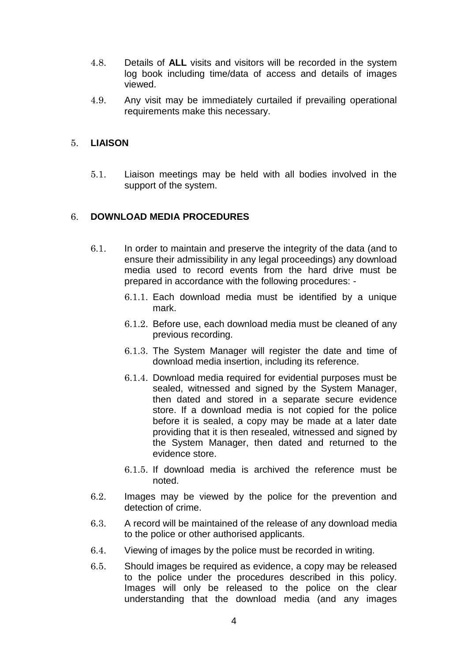- 4.8. Details of **ALL** visits and visitors will be recorded in the system log book including time/data of access and details of images viewed.
- 4.9. Any visit may be immediately curtailed if prevailing operational requirements make this necessary.

### 5. **LIAISON**

5.1. Liaison meetings may be held with all bodies involved in the support of the system.

## 6. **DOWNLOAD MEDIA PROCEDURES**

- 6.1. In order to maintain and preserve the integrity of the data (and to ensure their admissibility in any legal proceedings) any download media used to record events from the hard drive must be prepared in accordance with the following procedures: -
	- 6.1.1. Each download media must be identified by a unique mark.
	- 6.1.2. Before use, each download media must be cleaned of any previous recording.
	- 6.1.3. The System Manager will register the date and time of download media insertion, including its reference.
	- 6.1.4. Download media required for evidential purposes must be sealed, witnessed and signed by the System Manager, then dated and stored in a separate secure evidence store. If a download media is not copied for the police before it is sealed, a copy may be made at a later date providing that it is then resealed, witnessed and signed by the System Manager, then dated and returned to the evidence store.
	- 6.1.5. If download media is archived the reference must be noted.
- 6.2. Images may be viewed by the police for the prevention and detection of crime.
- 6.3. A record will be maintained of the release of any download media to the police or other authorised applicants.
- 6.4. Viewing of images by the police must be recorded in writing.
- 6.5. Should images be required as evidence, a copy may be released to the police under the procedures described in this policy. Images will only be released to the police on the clear understanding that the download media (and any images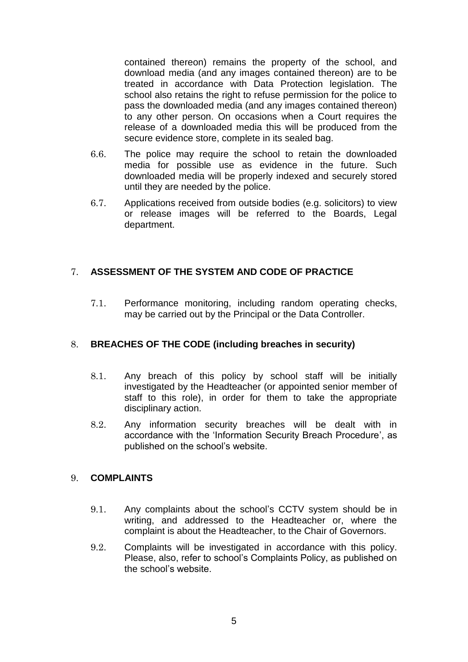contained thereon) remains the property of the school, and download media (and any images contained thereon) are to be treated in accordance with Data Protection legislation. The school also retains the right to refuse permission for the police to pass the downloaded media (and any images contained thereon) to any other person. On occasions when a Court requires the release of a downloaded media this will be produced from the secure evidence store, complete in its sealed bag.

- 6.6. The police may require the school to retain the downloaded media for possible use as evidence in the future. Such downloaded media will be properly indexed and securely stored until they are needed by the police.
- 6.7. Applications received from outside bodies (e.g. solicitors) to view or release images will be referred to the Boards, Legal department.

## 7. **ASSESSMENT OF THE SYSTEM AND CODE OF PRACTICE**

7.1. Performance monitoring, including random operating checks, may be carried out by the Principal or the Data Controller.

## 8. **BREACHES OF THE CODE (including breaches in security)**

- 8.1. Any breach of this policy by school staff will be initially investigated by the Headteacher (or appointed senior member of staff to this role), in order for them to take the appropriate disciplinary action.
- 8.2. Any information security breaches will be dealt with in accordance with the 'Information Security Breach Procedure', as published on the school's website.

### 9. **COMPLAINTS**

- 9.1. Any complaints about the school's CCTV system should be in writing, and addressed to the Headteacher or, where the complaint is about the Headteacher, to the Chair of Governors.
- 9.2. Complaints will be investigated in accordance with this policy. Please, also, refer to school's Complaints Policy, as published on the school's website.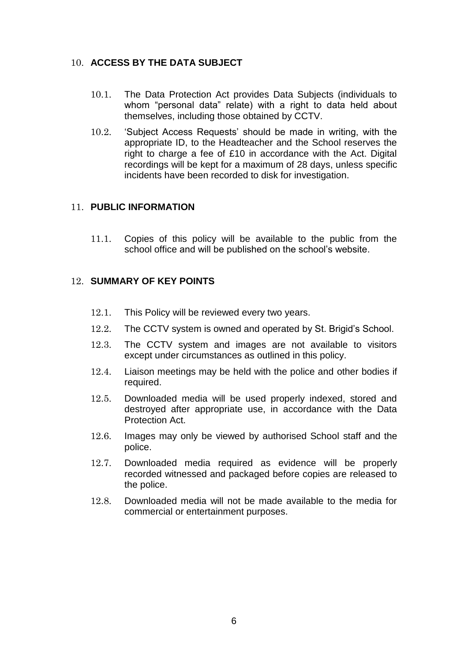## 10. **ACCESS BY THE DATA SUBJECT**

- 10.1. The Data Protection Act provides Data Subjects (individuals to whom "personal data" relate) with a right to data held about themselves, including those obtained by CCTV.
- 10.2. 'Subject Access Requests' should be made in writing, with the appropriate ID, to the Headteacher and the School reserves the right to charge a fee of £10 in accordance with the Act. Digital recordings will be kept for a maximum of 28 days, unless specific incidents have been recorded to disk for investigation.

### 11. **PUBLIC INFORMATION**

11.1. Copies of this policy will be available to the public from the school office and will be published on the school's website.

#### 12. **SUMMARY OF KEY POINTS**

- 12.1. This Policy will be reviewed every two years.
- 12.2. The CCTV system is owned and operated by St. Brigid's School.
- 12.3. The CCTV system and images are not available to visitors except under circumstances as outlined in this policy.
- 12.4. Liaison meetings may be held with the police and other bodies if required.
- 12.5. Downloaded media will be used properly indexed, stored and destroyed after appropriate use, in accordance with the Data Protection Act.
- 12.6. Images may only be viewed by authorised School staff and the police.
- 12.7. Downloaded media required as evidence will be properly recorded witnessed and packaged before copies are released to the police.
- 12.8. Downloaded media will not be made available to the media for commercial or entertainment purposes.